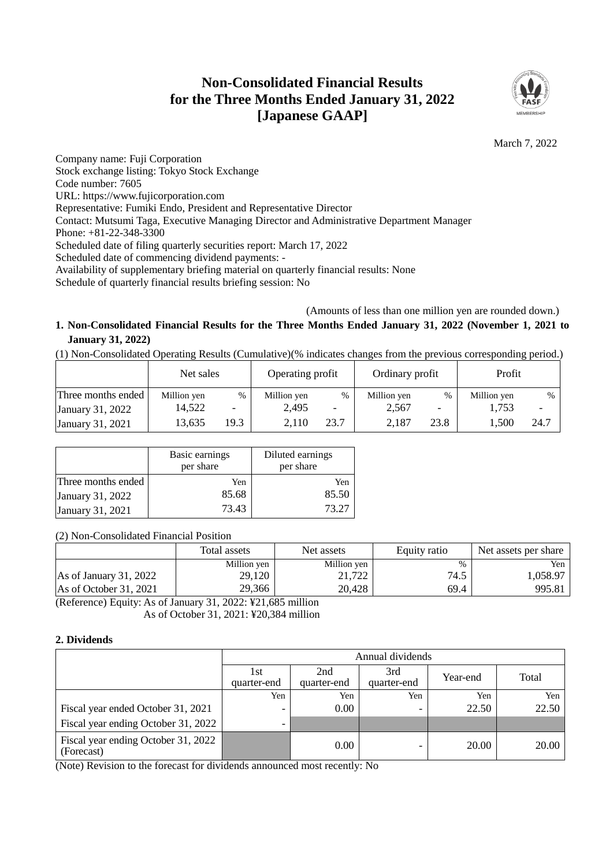# **Non-Consolidated Financial Results for the Three Months Ended January 31, 2022 [Japanese GAAP]**



March 7, 2022

Company name: Fuji Corporation Stock exchange listing: Tokyo Stock Exchange Code number: 7605 URL: https://www.fujicorporation.com Representative: Fumiki Endo, President and Representative Director Contact: Mutsumi Taga, Executive Managing Director and Administrative Department Manager Phone: +81-22-348-3300 Scheduled date of filing quarterly securities report: March 17, 2022 Scheduled date of commencing dividend payments: - Availability of supplementary briefing material on quarterly financial results: None Schedule of quarterly financial results briefing session: No

(Amounts of less than one million yen are rounded down.)

**1. Non-Consolidated Financial Results for the Three Months Ended January 31, 2022 (November 1, 2021 to January 31, 2022)**

(1) Non-Consolidated Operating Results (Cumulative)(% indicates changes from the previous corresponding period.)

|                    | Net sales   |                          | Operating profit |                          | Ordinary profit |      | Profit      |      |
|--------------------|-------------|--------------------------|------------------|--------------------------|-----------------|------|-------------|------|
| Three months ended | Million yen | %                        | Million yen      | $\%$                     | Million yen     | %    | Million yen | %    |
| January 31, 2022   | 14.522      | $\overline{\phantom{0}}$ | 2.495            | $\overline{\phantom{0}}$ | 2,567           |      | 1,753       |      |
| January 31, 2021   | 13.635      | 19.3                     | 2.110            | 23.7                     | 2,187           | 23.8 | 1.500       | 24.7 |

|                    | Basic earnings<br>per share | Diluted earnings<br>per share |  |
|--------------------|-----------------------------|-------------------------------|--|
| Three months ended | Yen                         | Yen                           |  |
| January 31, 2022   | 85.68                       | 85.50                         |  |
| January 31, 2021   | 73.43                       | 73.27                         |  |

(2) Non-Consolidated Financial Position

|                                  | Total assets | Net assets  | Equity ratio | Net assets per share |
|----------------------------------|--------------|-------------|--------------|----------------------|
|                                  | Million yen  | Million yen | $\%$         | Yen                  |
| As of January 31, 2022           | 29,120       | 21,722      | 74.5         | 1.058.97             |
| $\text{As of October } 31, 2021$ | 29,366       | 20,428      | 69.4         | 995.81               |

(Reference) Equity: As of January 31, 2022: ¥21,685 million As of October 31, 2021: ¥20,384 million

### **2. Dividends**

|                                                   | Annual dividends                                               |      |     |          |       |  |
|---------------------------------------------------|----------------------------------------------------------------|------|-----|----------|-------|--|
|                                                   | 2nd<br>3rd<br>1st<br>quarter-end<br>quarter-end<br>quarter-end |      |     | Year-end | Total |  |
|                                                   | Yen                                                            | Yen  | Yen | Yen      | Yen   |  |
| Fiscal year ended October 31, 2021                |                                                                | 0.00 |     | 22.50    | 22.50 |  |
| Fiscal year ending October 31, 2022               | $\overline{\phantom{0}}$                                       |      |     |          |       |  |
| Fiscal year ending October 31, 2022<br>(Forecast) |                                                                | 0.00 |     | 20.00    | 20.00 |  |

(Note) Revision to the forecast for dividends announced most recently: No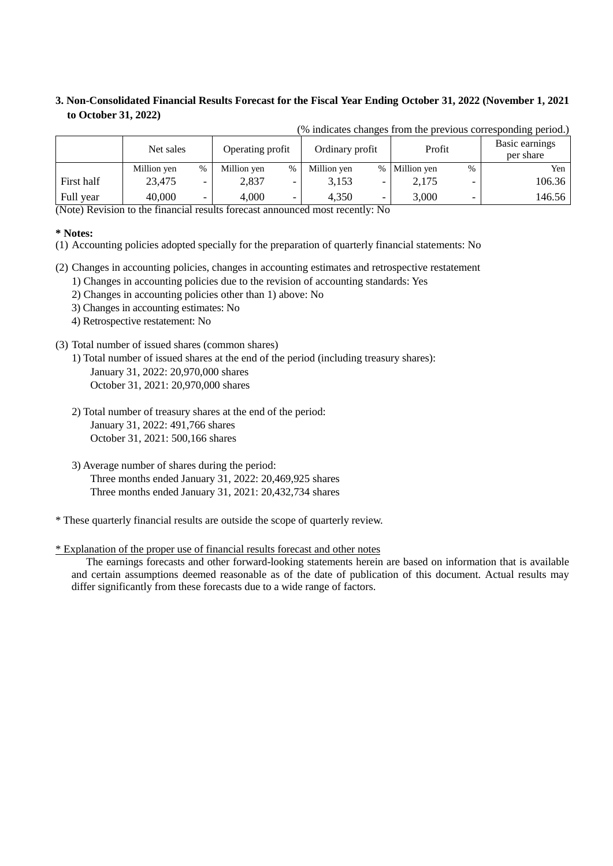### **3. Non-Consolidated Financial Results Forecast for the Fiscal Year Ending October 31, 2022 (November 1, 2021 to October 31, 2022)**

|            | Net sales   |                          | Operating profit |                          | Ordinary profit |                          | Profit        |                          | Basic earnings<br>per share |
|------------|-------------|--------------------------|------------------|--------------------------|-----------------|--------------------------|---------------|--------------------------|-----------------------------|
|            | Million yen | $\%$                     | Million yen      | %                        | Million yen     |                          | % Million yen | $\%$                     | Yen                         |
| First half | 23,475      |                          | 2.837            | $\overline{\phantom{0}}$ | 3,153           | $\overline{\phantom{0}}$ | 2,175         |                          | 106.36                      |
| Full year  | 40,000      | $\overline{\phantom{0}}$ | 4.000            | $\overline{\phantom{0}}$ | 4,350           | $\overline{\phantom{0}}$ | 3,000         | $\overline{\phantom{0}}$ | 146.56                      |

(% indicates changes from the previous corresponding period.)

(Note) Revision to the financial results forecast announced most recently: No

#### **\* Notes:**

(1) Accounting policies adopted specially for the preparation of quarterly financial statements: No

(2) Changes in accounting policies, changes in accounting estimates and retrospective restatement 1) Changes in accounting policies due to the revision of accounting standards: Yes

- 2) Changes in accounting policies other than 1) above: No
- 3) Changes in accounting estimates: No
- 4) Retrospective restatement: No
- (3) Total number of issued shares (common shares)

1) Total number of issued shares at the end of the period (including treasury shares): January 31, 2022: 20,970,000 shares October 31, 2021: 20,970,000 shares

- 2) Total number of treasury shares at the end of the period: January 31, 2022: 491,766 shares October 31, 2021: 500,166 shares
- 3) Average number of shares during the period: Three months ended January 31, 2022: 20,469,925 shares Three months ended January 31, 2021: 20,432,734 shares

\* These quarterly financial results are outside the scope of quarterly review.

\* Explanation of the proper use of financial results forecast and other notes

The earnings forecasts and other forward-looking statements herein are based on information that is available and certain assumptions deemed reasonable as of the date of publication of this document. Actual results may differ significantly from these forecasts due to a wide range of factors.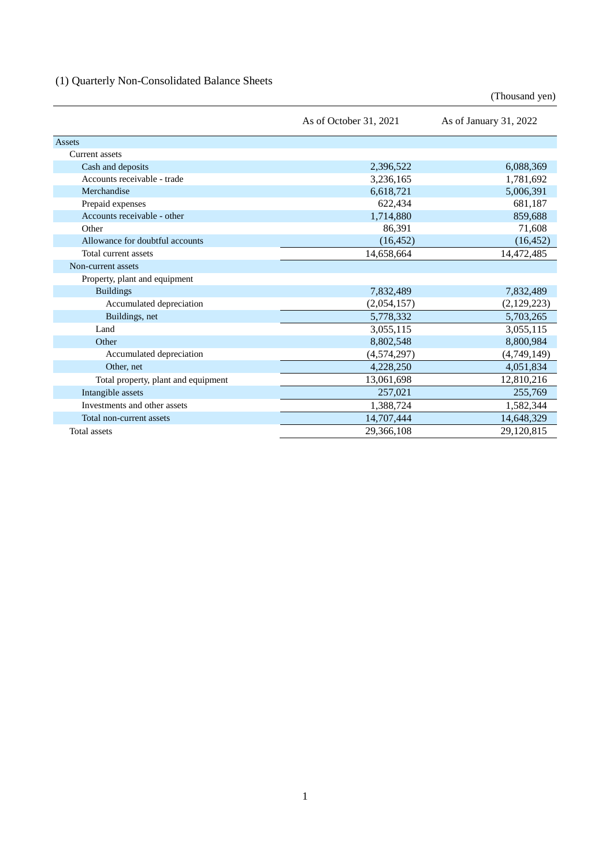# (1) Quarterly Non-Consolidated Balance Sheets

|                                     | As of October 31, 2021 | As of January 31, 2022 |
|-------------------------------------|------------------------|------------------------|
| <b>Assets</b>                       |                        |                        |
| Current assets                      |                        |                        |
| Cash and deposits                   | 2,396,522              | 6,088,369              |
| Accounts receivable - trade         | 3,236,165              | 1,781,692              |
| Merchandise                         | 6,618,721              | 5,006,391              |
| Prepaid expenses                    | 622,434                | 681,187                |
| Accounts receivable - other         | 1,714,880              | 859.688                |
| Other                               | 86,391                 | 71,608                 |
| Allowance for doubtful accounts     | (16, 452)              | (16, 452)              |
| Total current assets                | 14,658,664             | 14,472,485             |
| Non-current assets                  |                        |                        |
| Property, plant and equipment       |                        |                        |
| <b>Buildings</b>                    | 7,832,489              | 7,832,489              |
| Accumulated depreciation            | (2,054,157)            | (2,129,223)            |
| Buildings, net                      | 5,778,332              | 5,703,265              |
| Land                                | 3,055,115              | 3,055,115              |
| Other                               | 8,802,548              | 8,800,984              |
| Accumulated depreciation            | (4,574,297)            | (4,749,149)            |
| Other, net                          | 4,228,250              | 4,051,834              |
| Total property, plant and equipment | 13,061,698             | 12,810,216             |
| Intangible assets                   | 257,021                | 255,769                |
| Investments and other assets        | 1,388,724              | 1,582,344              |
| Total non-current assets            | 14,707,444             | 14,648,329             |
| <b>Total assets</b>                 | 29,366,108             | 29,120,815             |

(Thousand yen)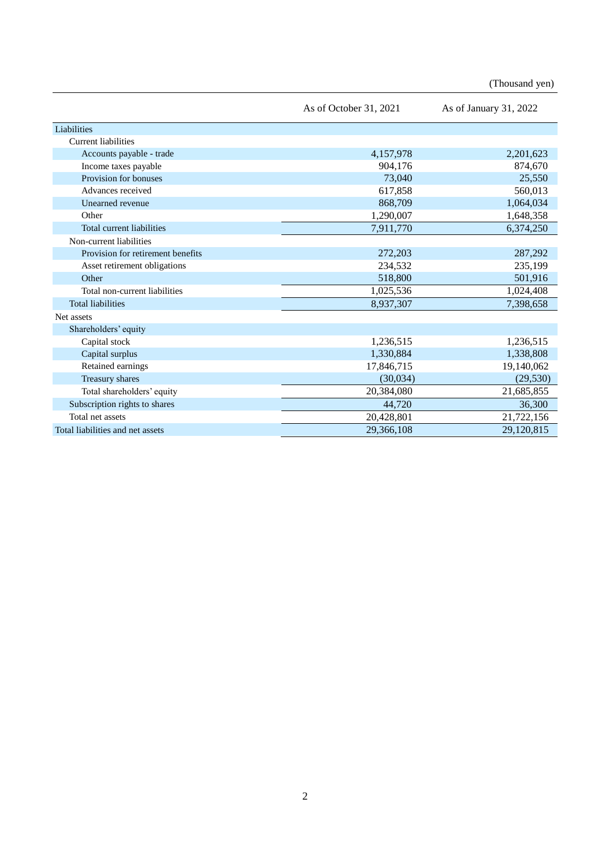(Thousand yen)

|                                   | As of October 31, 2021 | As of January 31, 2022 |
|-----------------------------------|------------------------|------------------------|
| Liabilities                       |                        |                        |
| <b>Current liabilities</b>        |                        |                        |
| Accounts payable - trade          | 4,157,978              | 2,201,623              |
| Income taxes payable              | 904.176                | 874,670                |
| Provision for bonuses             | 73,040                 | 25,550                 |
| Advances received                 | 617,858                | 560,013                |
| Unearned revenue                  | 868,709                | 1,064,034              |
| Other                             | 1,290,007              | 1,648,358              |
| Total current liabilities         | 7,911,770              | 6,374,250              |
| Non-current liabilities           |                        |                        |
| Provision for retirement benefits | 272,203                | 287,292                |
| Asset retirement obligations      | 234,532                | 235,199                |
| Other                             | 518,800                | 501,916                |
| Total non-current liabilities     | 1,025,536              | 1,024,408              |
| <b>Total liabilities</b>          | 8,937,307              | 7,398,658              |
| Net assets                        |                        |                        |
| Shareholders' equity              |                        |                        |
| Capital stock                     | 1,236,515              | 1,236,515              |
| Capital surplus                   | 1,330,884              | 1,338,808              |
| Retained earnings                 | 17,846,715             | 19,140,062             |
| Treasury shares                   | (30,034)               | (29, 530)              |
| Total shareholders' equity        | 20,384,080             | 21,685,855             |
| Subscription rights to shares     | 44,720                 | 36,300                 |
| Total net assets                  | 20,428,801             | 21,722,156             |
| Total liabilities and net assets  | 29,366,108             | 29,120,815             |